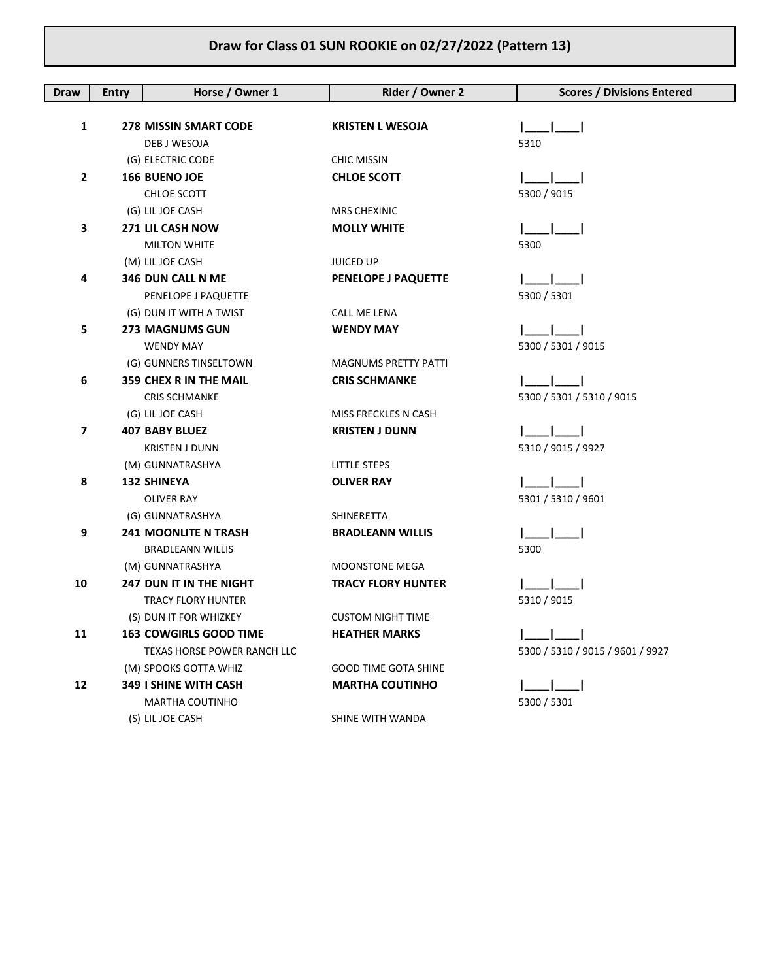| <b>Draw</b>  | <b>Entry</b> | Horse / Owner 1                | Rider / Owner 2             | <b>Scores / Divisions Entered</b> |
|--------------|--------------|--------------------------------|-----------------------------|-----------------------------------|
|              |              |                                |                             |                                   |
| 1            |              | <b>278 MISSIN SMART CODE</b>   | <b>KRISTEN L WESOJA</b>     |                                   |
|              |              | DEB J WESOJA                   |                             | 5310                              |
|              |              | (G) ELECTRIC CODE              | <b>CHIC MISSIN</b>          |                                   |
| $\mathbf{2}$ |              | 166 BUENO JOE                  | <b>CHLOE SCOTT</b>          |                                   |
|              |              | CHLOE SCOTT                    |                             | 5300 / 9015                       |
|              |              | (G) LIL JOE CASH               | <b>MRS CHEXINIC</b>         |                                   |
| 3            |              | 271 LIL CASH NOW               | <b>MOLLY WHITE</b>          |                                   |
|              |              | <b>MILTON WHITE</b>            |                             | 5300                              |
|              |              | (M) LIL JOE CASH               | <b>JUICED UP</b>            |                                   |
| 4            |              | 346 DUN CALL N ME              | PENELOPE J PAQUETTE         |                                   |
|              |              | PENELOPE J PAQUETTE            |                             | 5300 / 5301                       |
|              |              | (G) DUN IT WITH A TWIST        | CALL ME LENA                |                                   |
| 5            |              | <b>273 MAGNUMS GUN</b>         | <b>WENDY MAY</b>            |                                   |
|              |              | <b>WENDY MAY</b>               |                             | 5300 / 5301 / 9015                |
|              |              | (G) GUNNERS TINSELTOWN         | <b>MAGNUMS PRETTY PATTI</b> |                                   |
| 6            |              | <b>359 CHEX R IN THE MAIL</b>  | <b>CRIS SCHMANKE</b>        |                                   |
|              |              | <b>CRIS SCHMANKE</b>           |                             | 5300 / 5301 / 5310 / 9015         |
|              |              | (G) LIL JOE CASH               | MISS FRECKLES N CASH        |                                   |
| 7            |              | <b>407 BABY BLUEZ</b>          | <b>KRISTEN J DUNN</b>       |                                   |
|              |              | <b>KRISTEN J DUNN</b>          |                             | 5310 / 9015 / 9927                |
|              |              | (M) GUNNATRASHYA               | LITTLE STEPS                |                                   |
| 8            |              | <b>132 SHINEYA</b>             | <b>OLIVER RAY</b>           |                                   |
|              |              | <b>OLIVER RAY</b>              |                             | 5301 / 5310 / 9601                |
|              |              | (G) GUNNATRASHYA               | SHINERETTA                  |                                   |
| 9            |              | <b>241 MOONLITE N TRASH</b>    | <b>BRADLEANN WILLIS</b>     |                                   |
|              |              | <b>BRADLEANN WILLIS</b>        |                             | 5300                              |
|              |              | (M) GUNNATRASHYA               | <b>MOONSTONE MEGA</b>       |                                   |
| 10           |              | <b>247 DUN IT IN THE NIGHT</b> | <b>TRACY FLORY HUNTER</b>   |                                   |
|              |              | <b>TRACY FLORY HUNTER</b>      |                             | 5310 / 9015                       |
|              |              | (S) DUN IT FOR WHIZKEY         | <b>CUSTOM NIGHT TIME</b>    |                                   |
| 11           |              | 163 COWGIRLS GOOD TIME         | <b>HEATHER MARKS</b>        |                                   |
|              |              | TEXAS HORSE POWER RANCH LLC    |                             | 5300 / 5310 / 9015 / 9601 / 9927  |
|              |              | (M) SPOOKS GOTTA WHIZ          | <b>GOOD TIME GOTA SHINE</b> |                                   |
| 12           |              | <b>349 I SHINE WITH CASH</b>   | <b>MARTHA COUTINHO</b>      |                                   |
|              |              | MARTHA COUTINHO                |                             | 5300 / 5301                       |
|              |              | (S) LIL JOE CASH               | SHINE WITH WANDA            |                                   |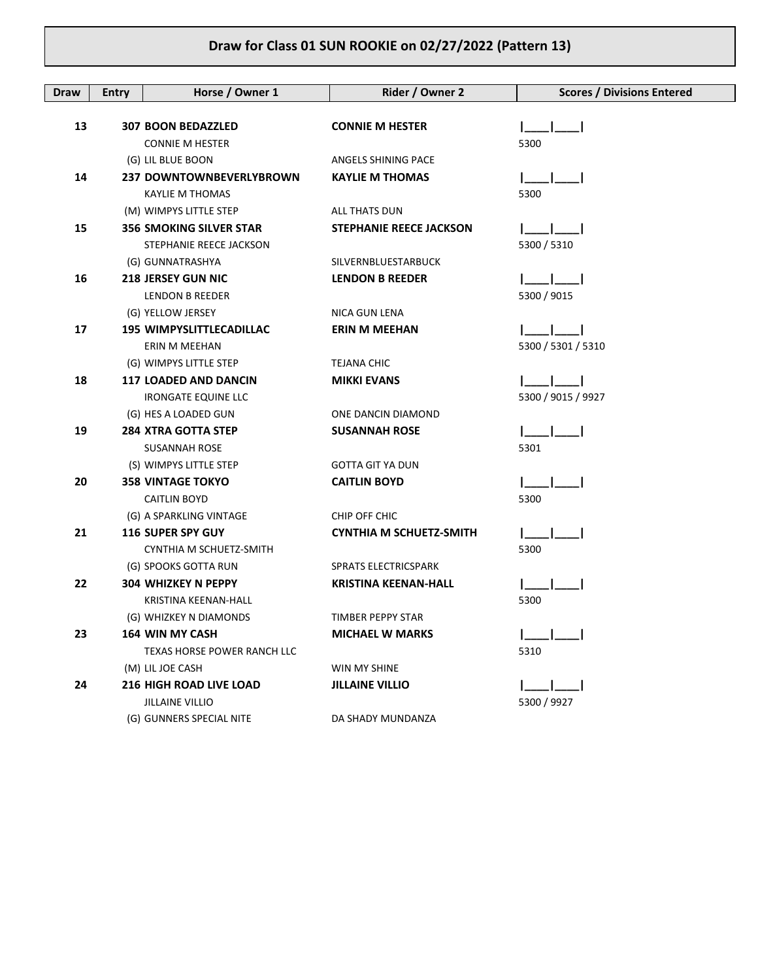| <b>Draw</b> | <b>Entry</b> | Horse / Owner 1                 | Rider / Owner 2                | <b>Scores / Divisions Entered</b> |
|-------------|--------------|---------------------------------|--------------------------------|-----------------------------------|
|             |              |                                 |                                |                                   |
| 13          |              | <b>307 BOON BEDAZZLED</b>       | <b>CONNIE M HESTER</b>         |                                   |
|             |              | <b>CONNIE M HESTER</b>          |                                | 5300                              |
|             |              | (G) LIL BLUE BOON               | ANGELS SHINING PACE            |                                   |
| 14          |              | 237 DOWNTOWNBEVERLYBROWN        | <b>KAYLIE M THOMAS</b>         |                                   |
|             |              | <b>KAYLIE M THOMAS</b>          |                                | 5300                              |
|             |              | (M) WIMPYS LITTLE STEP          | ALL THATS DUN                  |                                   |
| 15          |              | <b>356 SMOKING SILVER STAR</b>  | <b>STEPHANIE REECE JACKSON</b> |                                   |
|             |              | STEPHANIE REECE JACKSON         |                                | 5300 / 5310                       |
|             |              | (G) GUNNATRASHYA                | SILVERNBLUESTARBUCK            |                                   |
| 16          |              | <b>218 JERSEY GUN NIC</b>       | <b>LENDON B REEDER</b>         |                                   |
|             |              | LENDON B REEDER                 |                                | 5300 / 9015                       |
|             |              | (G) YELLOW JERSEY               | NICA GUN LENA                  |                                   |
| 17          |              | <b>195 WIMPYSLITTLECADILLAC</b> | <b>ERIN M MEEHAN</b>           |                                   |
|             |              | ERIN M MEEHAN                   |                                | 5300 / 5301 / 5310                |
|             |              | (G) WIMPYS LITTLE STEP          | <b>TEJANA CHIC</b>             |                                   |
| 18          |              | <b>117 LOADED AND DANCIN</b>    | <b>MIKKI EVANS</b>             |                                   |
|             |              | <b>IRONGATE EQUINE LLC</b>      |                                | 5300 / 9015 / 9927                |
|             |              | (G) HES A LOADED GUN            | ONE DANCIN DIAMOND             |                                   |
| 19          |              | <b>284 XTRA GOTTA STEP</b>      | <b>SUSANNAH ROSE</b>           |                                   |
|             |              | <b>SUSANNAH ROSE</b>            |                                | 5301                              |
|             |              | (S) WIMPYS LITTLE STEP          | <b>GOTTA GIT YA DUN</b>        |                                   |
| 20          |              | <b>358 VINTAGE TOKYO</b>        | <b>CAITLIN BOYD</b>            |                                   |
|             |              | <b>CAITLIN BOYD</b>             |                                | 5300                              |
|             |              | (G) A SPARKLING VINTAGE         | CHIP OFF CHIC                  |                                   |
| 21          |              | <b>116 SUPER SPY GUY</b>        | <b>CYNTHIA M SCHUETZ-SMITH</b> |                                   |
|             |              | CYNTHIA M SCHUETZ-SMITH         |                                | 5300                              |
|             |              | (G) SPOOKS GOTTA RUN            | SPRATS ELECTRICSPARK           |                                   |
| 22          |              | <b>304 WHIZKEY N PEPPY</b>      | <b>KRISTINA KEENAN-HALL</b>    |                                   |
|             |              | KRISTINA KEENAN-HALL            |                                | 5300                              |
|             |              | (G) WHIZKEY N DIAMONDS          | TIMBER PEPPY STAR              |                                   |
| 23          |              | <b>164 WIN MY CASH</b>          | <b>MICHAEL W MARKS</b>         |                                   |
|             |              | TEXAS HORSE POWER RANCH LLC     |                                | 5310                              |
|             |              | (M) LIL JOE CASH                | WIN MY SHINE                   |                                   |
| 24          |              | <b>216 HIGH ROAD LIVE LOAD</b>  | <b>JILLAINE VILLIO</b>         |                                   |
|             |              | <b>JILLAINE VILLIO</b>          |                                | 5300 / 9927                       |
|             |              | (G) GUNNERS SPECIAL NITE        | DA SHADY MUNDANZA              |                                   |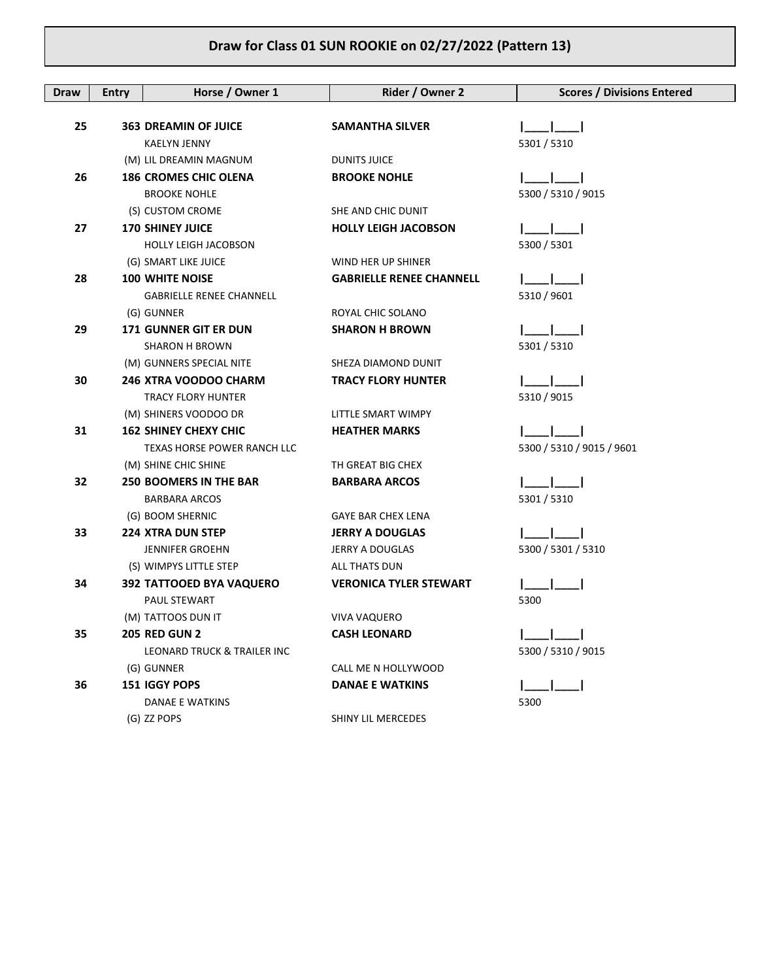| Draw | <b>Entry</b> | Horse / Owner 1                 | Rider / Owner 2                               | <b>Scores / Divisions Entered</b> |
|------|--------------|---------------------------------|-----------------------------------------------|-----------------------------------|
|      |              |                                 |                                               |                                   |
| 25   |              | <b>363 DREAMIN OF JUICE</b>     | <b>SAMANTHA SILVER</b>                        |                                   |
|      |              | KAELYN JENNY                    |                                               | 5301 / 5310                       |
|      |              | (M) LIL DREAMIN MAGNUM          | <b>DUNITS JUICE</b>                           |                                   |
| 26   |              | <b>186 CROMES CHIC OLENA</b>    | <b>BROOKE NOHLE</b>                           |                                   |
|      |              | <b>BROOKE NOHLE</b>             |                                               | 5300 / 5310 / 9015                |
|      |              | (S) CUSTOM CROME                | SHE AND CHIC DUNIT                            |                                   |
| 27   |              | <b>170 SHINEY JUICE</b>         | <b>HOLLY LEIGH JACOBSON</b>                   |                                   |
|      |              | <b>HOLLY LEIGH JACOBSON</b>     |                                               | 5300 / 5301                       |
|      |              | (G) SMART LIKE JUICE            | WIND HER UP SHINER                            |                                   |
| 28   |              | <b>100 WHITE NOISE</b>          | <b>GABRIELLE RENEE CHANNELL</b>               |                                   |
|      |              | <b>GABRIELLE RENEE CHANNELL</b> |                                               | 5310 / 9601                       |
|      |              | (G) GUNNER                      | ROYAL CHIC SOLANO                             |                                   |
| 29   |              | <b>171 GUNNER GIT ER DUN</b>    | <b>SHARON H BROWN</b>                         |                                   |
|      |              | SHARON H BROWN                  |                                               | 5301 / 5310                       |
|      |              | (M) GUNNERS SPECIAL NITE        | SHEZA DIAMOND DUNIT                           |                                   |
| 30   |              | 246 XTRA VOODOO CHARM           | <b>TRACY FLORY HUNTER</b>                     |                                   |
|      |              | <b>TRACY FLORY HUNTER</b>       |                                               | 5310 / 9015                       |
|      |              | (M) SHINERS VOODOO DR           | LITTLE SMART WIMPY                            |                                   |
| 31   |              | <b>162 SHINEY CHEXY CHIC</b>    | <b>HEATHER MARKS</b>                          |                                   |
|      |              | TEXAS HORSE POWER RANCH LLC     |                                               | 5300 / 5310 / 9015 / 9601         |
|      |              | (M) SHINE CHIC SHINE            | TH GREAT BIG CHEX                             |                                   |
| 32   |              | <b>250 BOOMERS IN THE BAR</b>   | <b>BARBARA ARCOS</b>                          |                                   |
|      |              | <b>BARBARA ARCOS</b>            |                                               | 5301 / 5310                       |
|      |              | (G) BOOM SHERNIC                | <b>GAYE BAR CHEX LENA</b>                     |                                   |
| 33   |              | <b>224 XTRA DUN STEP</b>        | <b>JERRY A DOUGLAS</b>                        |                                   |
|      |              | <b>JENNIFER GROEHN</b>          | JERRY A DOUGLAS                               | 5300 / 5301 / 5310                |
|      |              | (S) WIMPYS LITTLE STEP          | ALL THATS DUN                                 |                                   |
| 34   |              | 392 TATTOOED BYA VAQUERO        | <b>VERONICA TYLER STEWART</b>                 |                                   |
|      |              | PAUL STEWART                    |                                               | 5300                              |
|      |              | (M) TATTOOS DUN IT              | <b>VIVA VAQUERO</b>                           |                                   |
| 35   |              | <b>205 RED GUN 2</b>            | <b>CASH LEONARD</b>                           | 5300 / 5310 / 9015                |
|      |              | LEONARD TRUCK & TRAILER INC     |                                               |                                   |
| 36   |              | (G) GUNNER<br>151 IGGY POPS     | CALL ME N HOLLYWOOD<br><b>DANAE E WATKINS</b> |                                   |
|      |              | <b>DANAE E WATKINS</b>          |                                               | 5300                              |
|      |              | (G) ZZ POPS                     | SHINY LIL MERCEDES                            |                                   |
|      |              |                                 |                                               |                                   |